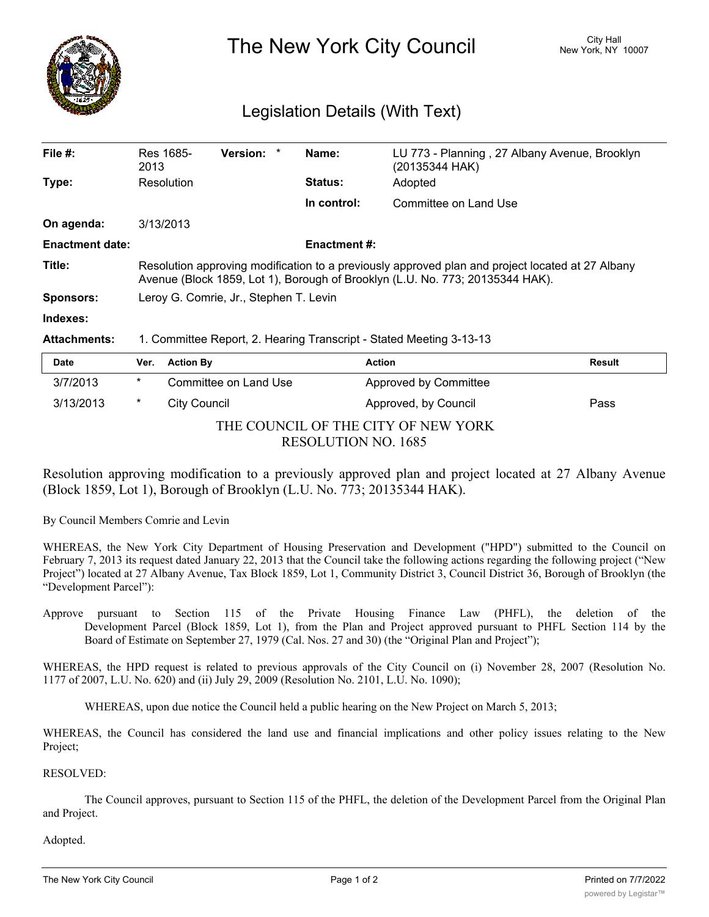

The New York City Council New York, NY 10007

## Legislation Details (With Text)

| File $#$ :             | Res 1685-<br>2013                                                                                                                                                                 |                       | Version: * |  | Name:               | LU 773 - Planning, 27 Albany Avenue, Brooklyn<br>(20135344 HAK) |        |
|------------------------|-----------------------------------------------------------------------------------------------------------------------------------------------------------------------------------|-----------------------|------------|--|---------------------|-----------------------------------------------------------------|--------|
| Type:                  | Resolution                                                                                                                                                                        |                       |            |  | <b>Status:</b>      | Adopted                                                         |        |
|                        |                                                                                                                                                                                   |                       |            |  | In control:         | Committee on Land Use                                           |        |
| On agenda:             | 3/13/2013                                                                                                                                                                         |                       |            |  |                     |                                                                 |        |
| <b>Enactment date:</b> |                                                                                                                                                                                   |                       |            |  | <b>Enactment #:</b> |                                                                 |        |
| Title:                 | Resolution approving modification to a previously approved plan and project located at 27 Albany<br>Avenue (Block 1859, Lot 1), Borough of Brooklyn (L.U. No. 773; 20135344 HAK). |                       |            |  |                     |                                                                 |        |
| <b>Sponsors:</b>       | Leroy G. Comrie, Jr., Stephen T. Levin                                                                                                                                            |                       |            |  |                     |                                                                 |        |
| Indexes:               |                                                                                                                                                                                   |                       |            |  |                     |                                                                 |        |
| <b>Attachments:</b>    | 1. Committee Report, 2. Hearing Transcript - Stated Meeting 3-13-13                                                                                                               |                       |            |  |                     |                                                                 |        |
| <b>Date</b>            | Ver.                                                                                                                                                                              | <b>Action By</b>      |            |  |                     | <b>Action</b>                                                   | Result |
| 3/7/2013               | $\star$                                                                                                                                                                           | Committee on Land Use |            |  |                     | Approved by Committee                                           |        |

| THE COUNCIL OF THE CITY OF NEW YORK |  |
|-------------------------------------|--|
| RESOLUTION NO. 1685                 |  |

3/13/2013 \* City Council Approved, by Council Pass

Resolution approving modification to a previously approved plan and project located at 27 Albany Avenue (Block 1859, Lot 1), Borough of Brooklyn (L.U. No. 773; 20135344 HAK).

By Council Members Comrie and Levin

WHEREAS, the New York City Department of Housing Preservation and Development ("HPD") submitted to the Council on February 7, 2013 its request dated January 22, 2013 that the Council take the following actions regarding the following project ("New Project") located at 27 Albany Avenue, Tax Block 1859, Lot 1, Community District 3, Council District 36, Borough of Brooklyn (the "Development Parcel"):

Approve pursuant to Section 115 of the Private Housing Finance Law (PHFL), the deletion of the Development Parcel (Block 1859, Lot 1), from the Plan and Project approved pursuant to PHFL Section 114 by the Board of Estimate on September 27, 1979 (Cal. Nos. 27 and 30) (the "Original Plan and Project");

WHEREAS, the HPD request is related to previous approvals of the City Council on (i) November 28, 2007 (Resolution No. 1177 of 2007, L.U. No. 620) and (ii) July 29, 2009 (Resolution No. 2101, L.U. No. 1090);

WHEREAS, upon due notice the Council held a public hearing on the New Project on March 5, 2013;

WHEREAS, the Council has considered the land use and financial implications and other policy issues relating to the New Project;

RESOLVED:

The Council approves, pursuant to Section 115 of the PHFL, the deletion of the Development Parcel from the Original Plan and Project.

Adopted.